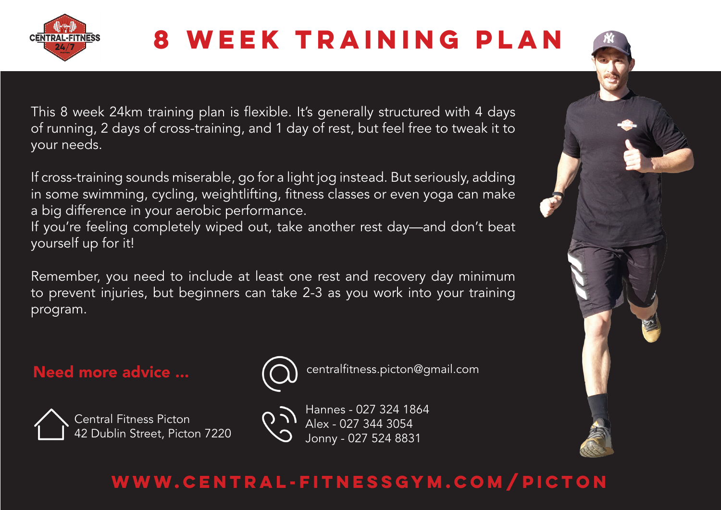

# **8 week training plan**

This 8 week 24km training plan is flexible. It's generally structured with 4 days of running, 2 days of cross-training, and 1 day of rest, but feel free to tweak it to your needs.

If cross-training sounds miserable, go for a light jog instead. But seriously, adding in some swimming, cycling, weightlifting, fitness classes or even yoga can make a big difference in your aerobic performance.

If you're feeling completely wiped out, take another rest day—and don't beat yourself up for it!

Remember, you need to include at least one rest and recovery day minimum to prevent injuries, but beginners can take 2-3 as you work into your training program.

Need more advice ...



Central Fitness Picton 42 Dublin Street, Picton 7220



centralfitness.picton@gmail.com

Hannes - 027 324 1864 Alex - 027 344 3054 Jonny - 027 524 8831



### **www.central-fitnessgym.com/picton**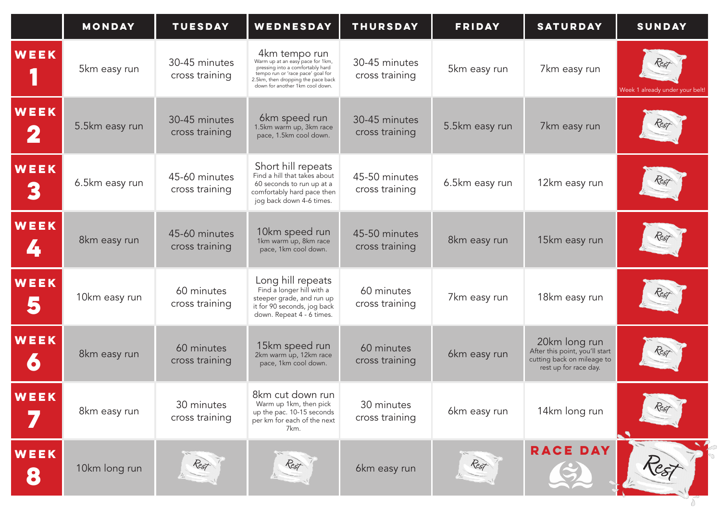|                     | <b>MONDAY</b>  | <b>TUESDAY</b>                  | WEDNESDAY                                                                                                                                                                                           | <b>THURSDAY</b>                 | <b>FRIDAY</b>  | <b>SATURDAY</b>                                                                                        | <b>SUNDAY</b>                   |
|---------------------|----------------|---------------------------------|-----------------------------------------------------------------------------------------------------------------------------------------------------------------------------------------------------|---------------------------------|----------------|--------------------------------------------------------------------------------------------------------|---------------------------------|
| WEEK<br>1<br>Ш      | 5km easy run   | 30-45 minutes<br>cross training | 4km tempo run<br>Warm up at an easy pace for 1km,<br>pressing into a comfortably hard<br>tempo run or 'race pace' goal for<br>2.5km, then dropping the pace back<br>down for another 1km cool down. | 30-45 minutes<br>cross training | 5km easy run   | 7km easy run                                                                                           | Week 1 already under your belt! |
| WEEK<br>$\mathbf 2$ | 5.5km easy run | 30-45 minutes<br>cross training | 6km speed run<br>1.5km warm up, 3km race<br>pace, 1.5km cool down.                                                                                                                                  | 30-45 minutes<br>cross training | 5.5km easy run | 7km easy run                                                                                           |                                 |
| WEEK<br>3           | 6.5km easy run | 45-60 minutes<br>cross training | Short hill repeats<br>Find a hill that takes about<br>60 seconds to run up at a<br>comfortably hard pace then<br>jog back down 4-6 times.                                                           | 45-50 minutes<br>cross training | 6.5km easy run | 12km easy run                                                                                          |                                 |
| WEEK<br><u>ZĄ</u>   | 8km easy run   | 45-60 minutes<br>cross training | 10km speed run<br>1km warm up, 8km race<br>pace, 1km cool down.                                                                                                                                     | 45-50 minutes<br>cross training | 8km easy run   | 15km easy run                                                                                          |                                 |
| WEEK<br>5           | 10km easy run  | 60 minutes<br>cross training    | Long hill repeats<br>Find a longer hill with a<br>steeper grade, and run up<br>it for 90 seconds, jog back<br>down. Repeat 4 - 6 times.                                                             | 60 minutes<br>cross training    | 7km easy run   | 18km easy run                                                                                          |                                 |
| WEEK<br>6           | 8km easy run   | 60 minutes<br>cross training    | 15km speed run<br>2km warm up, 12km race<br>pace, 1km cool down.                                                                                                                                    | 60 minutes<br>cross training    | 6km easy run   | 20km long run<br>After this point, you'll start<br>cutting back on mileage to<br>rest up for race day. |                                 |
| WEEK<br>7           | 8km easy run   | 30 minutes<br>cross training    | 8km cut down run<br>Warm up 1km, then pick<br>up the pac. 10-15 seconds<br>per km for each of the next<br>7km.                                                                                      | 30 minutes<br>cross training    | 6km easy run   | 14km long run                                                                                          | Rest                            |
| WEEK<br>8           | 10km long run  | Rest                            | Rest                                                                                                                                                                                                | 6km easy run                    | Rest           | <b>RACE DAY</b>                                                                                        |                                 |